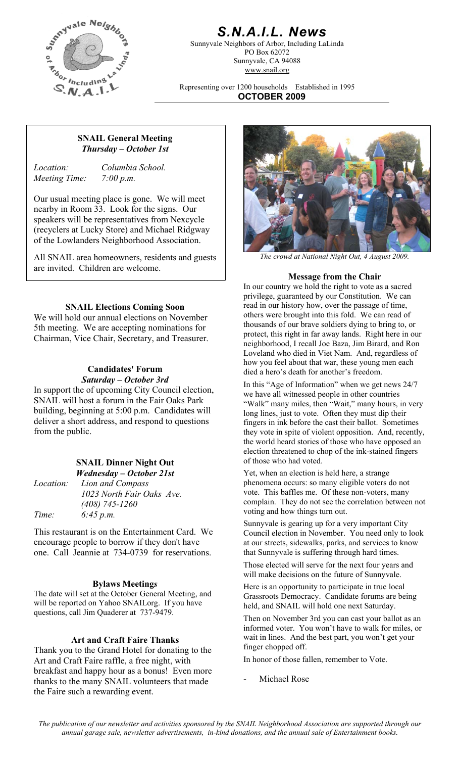

## *S.N.A.I.L. News*

Sunnyvale Neighbors of Arbor, Including LaLinda PO Box 62072 Sunnyvale, CA 94088 www.snail.org

Representing over 1200 households Established in 1995 **OCTOBER 2009**

#### **SNAIL General Meeting**  *Thursday – October 1st*

*Meeting Time: 7:00 p.m.* 

*Location: Columbia School.* 

Our usual meeting place is gone. We will meet nearby in Room 33. Look for the signs. Our speakers will be representatives from Nexcycle (recyclers at Lucky Store) and Michael Ridgway of the Lowlanders Neighborhood Association.

All SNAIL area homeowners, residents and guests *The crowd at National Night Out, 4 August 2009.*  are invited. Children are welcome.

#### **SNAIL Elections Coming Soon**

We will hold our annual elections on November 5th meeting. We are accepting nominations for Chairman, Vice Chair, Secretary, and Treasurer.

# **Candidates' Forum**

In support the of upcoming City Council election, SNAIL will host a forum in the Fair Oaks Park building, beginning at 5:00 p.m. Candidates will deliver a short address, and respond to questions from the public.

|                  | <b>SNAIL Dinner Night Out</b> |  |  |
|------------------|-------------------------------|--|--|
|                  | Wednesday – October 21st      |  |  |
| <i>Location:</i> | Lion and Compass              |  |  |
|                  | 1023 North Fair Oaks Ave.     |  |  |
|                  | $(408)$ 745-1260              |  |  |
| Time:            | 6:45 p.m.                     |  |  |

This restaurant is on the Entertainment Card. We encourage people to borrow if they don't have one. Call Jeannie at 734-0739 for reservations.

The date will set at the October General Meeting, and will be reported on Yahoo SNAILorg. If you have questions, call Jim Quaderer at 737-9479.<br>Then on November 3rd you can cast your ballot as an

#### **Art and Craft Faire Thanks**

Thank you to the Grand Hotel for donating to the Art and Craft Faire raffle, a free night, with breakfast and happy hour as a bonus! Even more thanks to the many SNAIL volunteers that made the Faire such a rewarding event.



#### **Message from the Chair**

In our country we hold the right to vote as a sacred privilege, guaranteed by our Constitution. We can read in our history how, over the passage of time, others were brought into this fold. We can read of thousands of our brave soldiers dying to bring to, or protect, this right in far away lands. Right here in our neighborhood, I recall Joe Baza, Jim Birard, and Ron Loveland who died in Viet Nam. And, regardless of how you feel about that war, these young men each died a hero's death for another's freedom.

**Saturday – October 3rd** In this "Age of Information" when we get news 24/7 we have all witnessed people in other countries "Walk" many miles, then "Wait," many hours, in very long lines, just to vote. Often they must dip their fingers in ink before the cast their ballot. Sometimes they vote in spite of violent opposition. And, recently, the world heard stories of those who have opposed an election threatened to chop of the ink-stained fingers of those who had voted.

> Yet, when an election is held here, a strange phenomena occurs: so many eligible voters do not vote. This baffles me. Of these non-voters, many complain. They do not see the correlation between not voting and how things turn out.

> Sunnyvale is gearing up for a very important City Council election in November. You need only to look at our streets, sidewalks, parks, and services to know that Sunnyvale is suffering through hard times.

Those elected will serve for the next four years and will make decisions on the future of Sunnyvale.

**Bylaws Meetings** Here is an opportunity to participate in true local Grassroots Democracy. Candidate forums are being held, and SNAIL will hold one next Saturday.

> informed voter. You won't have to walk for miles, or wait in lines. And the best part, you won't get your finger chopped off.

In honor of those fallen, remember to Vote.

Michael Rose

*The publication of our newsletter and activities sponsored by the SNAIL Neighborhood Association are supported through our annual garage sale, newsletter advertisements, in-kind donations, and the annual sale of Entertainment books.*